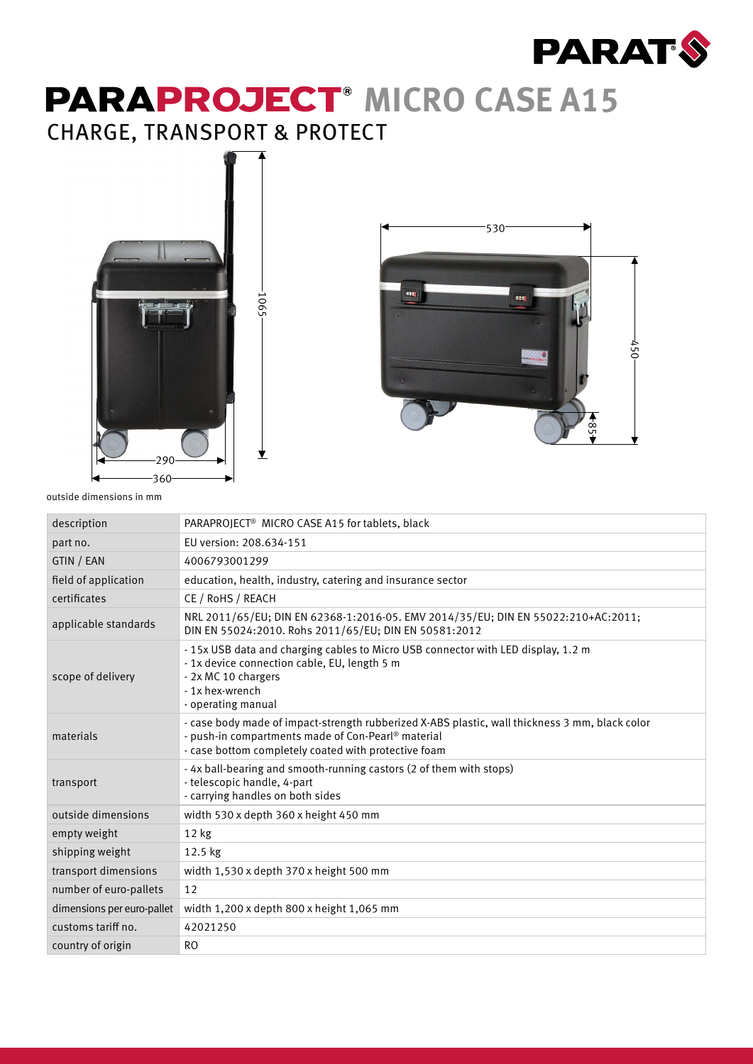

## **PARAPROJECT<sup>®</sup> MICRO CASE A15** CHARGE, TRANSPORT & PROTECT



1065

 $\bigstar$ 



outside dimensions in mm

| description                | PARAPROJECT <sup>®</sup> MICRO CASE A15 for tablets, black                                                                                                                                                   |
|----------------------------|--------------------------------------------------------------------------------------------------------------------------------------------------------------------------------------------------------------|
| part no.                   | EU version: 208.634-151                                                                                                                                                                                      |
| GTIN / EAN                 | 4006793001299                                                                                                                                                                                                |
| field of application       | education, health, industry, catering and insurance sector                                                                                                                                                   |
| certificates               | CE / RoHS / REACH                                                                                                                                                                                            |
| applicable standards       | NRL 2011/65/EU; DIN EN 62368-1:2016-05. EMV 2014/35/EU; DIN EN 55022:210+AC:2011;<br>DIN EN 55024:2010. Rohs 2011/65/EU: DIN EN 50581:2012                                                                   |
| scope of delivery          | -15x USB data and charging cables to Micro USB connector with LED display, 1.2 m<br>-1x device connection cable, EU, length 5 m<br>- 2x MC 10 chargers<br>- 1x hex-wrench<br>- operating manual              |
| materials                  | - case body made of impact-strength rubberized X-ABS plastic, wall thickness 3 mm, black color<br>- push-in compartments made of Con-Pearl® material<br>- case bottom completely coated with protective foam |
| transport                  | - 4x ball-bearing and smooth-running castors (2 of them with stops)<br>- telescopic handle, 4-part<br>- carrying handles on both sides                                                                       |
| outside dimensions         | width 530 x depth 360 x height 450 mm                                                                                                                                                                        |
| empty weight               | 12 <sub>kg</sub>                                                                                                                                                                                             |
| shipping weight            | 12.5 kg                                                                                                                                                                                                      |
| transport dimensions       | width 1,530 x depth 370 x height 500 mm                                                                                                                                                                      |
| number of euro-pallets     | 12                                                                                                                                                                                                           |
| dimensions per euro-pallet | width 1,200 x depth 800 x height 1,065 mm                                                                                                                                                                    |
| customs tariff no.         | 42021250                                                                                                                                                                                                     |
| country of origin          | R <sub>O</sub>                                                                                                                                                                                               |